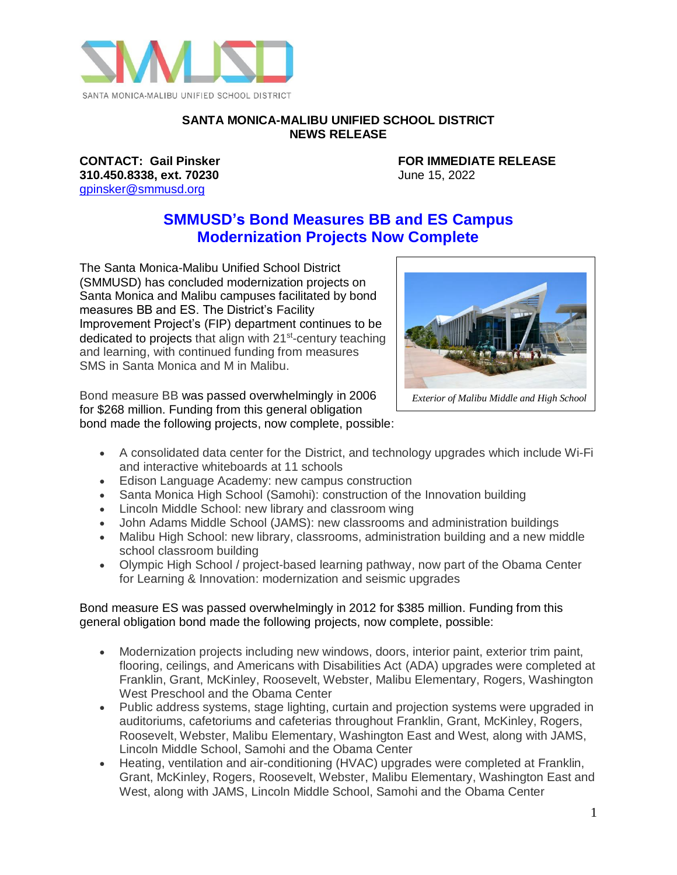

### **SANTA MONICA-MALIBU UNIFIED SCHOOL DISTRICT NEWS RELEASE**

**310.450.8338, ext. 70230** June 15, 2022 [gpinsker@smmusd.org](mailto:gpinsker@smmusd.org)

**CONTACT: Gail Pinsker FOR IMMEDIATE RELEASE**

## **SMMUSD's Bond Measures BB and ES Campus Modernization Projects Now Complete**

The Santa Monica-Malibu Unified School District (SMMUSD) has concluded modernization projects on Santa Monica and Malibu campuses facilitated by bond measures BB and ES. The District's Facility Improvement Project's (FIP) department continues to be dedicated to projects that align with 21<sup>st</sup>-century teaching and learning, with continued funding from measures SMS in Santa Monica and M in Malibu.





*Exterior of Malibu Middle and High School*

- A consolidated data center for the District, and technology upgrades which include Wi-Fi and interactive whiteboards at 11 schools
- Edison Language Academy: new campus construction
- Santa Monica High School (Samohi): construction of the Innovation building
- Lincoln Middle School: new library and classroom wing
- John Adams Middle School (JAMS): new classrooms and administration buildings
- Malibu High School: new library, classrooms, administration building and a new middle school classroom building
- Olympic High School / project-based learning pathway, now part of the Obama Center for Learning & Innovation: modernization and seismic upgrades

### Bond measure ES was passed overwhelmingly in 2012 for \$385 million. Funding from this general obligation bond made the following projects, now complete, possible:

- Modernization projects including new windows, doors, interior paint, exterior trim paint, flooring, ceilings, and Americans with Disabilities Act (ADA) upgrades were completed at Franklin, Grant, McKinley, Roosevelt, Webster, Malibu Elementary, Rogers, Washington West Preschool and the Obama Center
- Public address systems, stage lighting, curtain and projection systems were upgraded in auditoriums, cafetoriums and cafeterias throughout Franklin, Grant, McKinley, Rogers, Roosevelt, Webster, Malibu Elementary, Washington East and West, along with JAMS, Lincoln Middle School, Samohi and the Obama Center
- Heating, ventilation and air-conditioning (HVAC) upgrades were completed at Franklin, Grant, McKinley, Rogers, Roosevelt, Webster, Malibu Elementary, Washington East and West, along with JAMS, Lincoln Middle School, Samohi and the Obama Center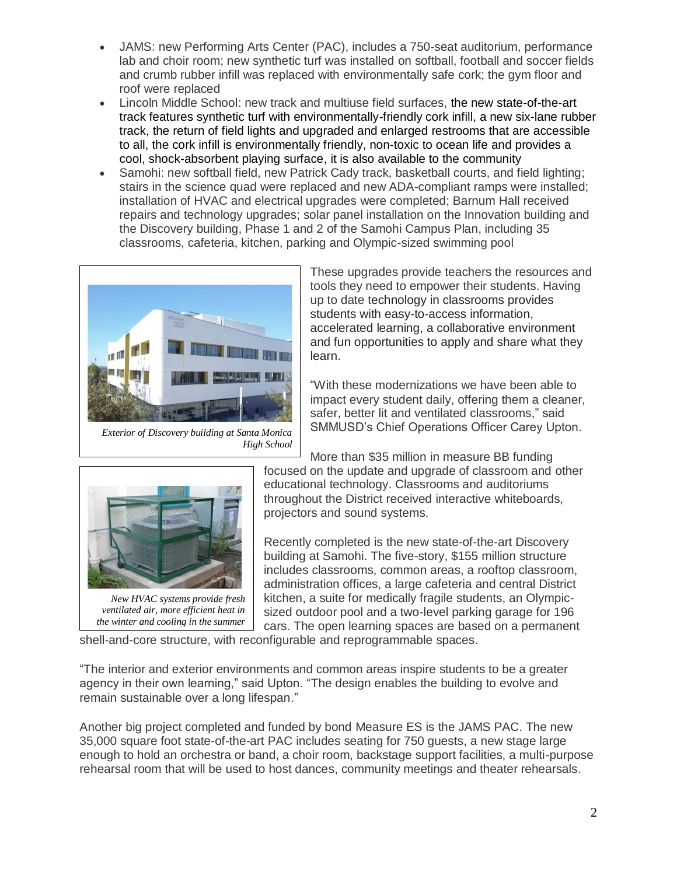- JAMS: new Performing Arts Center (PAC), includes a 750-seat auditorium, performance lab and choir room; new synthetic turf was installed on softball, football and soccer fields and crumb rubber infill was replaced with environmentally safe cork; the gym floor and roof were replaced
- Lincoln Middle School: new track and multiuse field surfaces, the new state-of-the-art track features synthetic turf with environmentally-friendly cork infill, a new six-lane rubber track, the return of field lights and upgraded and enlarged restrooms that are accessible to all, the cork infill is environmentally friendly, non-toxic to ocean life and provides a cool, shock-absorbent playing surface, it is also available to the community
- Samohi: new softball field, new Patrick Cady track, basketball courts, and field lighting; stairs in the science quad were replaced and new ADA-compliant ramps were installed; installation of HVAC and electrical upgrades were completed; Barnum Hall received repairs and technology upgrades; solar panel installation on the Innovation building and the Discovery building, Phase 1 and 2 of the Samohi Campus Plan, including 35 classrooms, cafeteria, kitchen, parking and Olympic-sized swimming pool



*Exterior of Discovery building at Santa Monica High School*

These upgrades provide teachers the resources and tools they need to empower their students. Having up to date technology in classrooms provides students with easy-to-access information, accelerated learning, a collaborative environment and fun opportunities to apply and share what they learn.

"With these modernizations we have been able to impact every student daily, offering them a cleaner, safer, better lit and ventilated classrooms," said SMMUSD's Chief Operations Officer Carey Upton.



*ventilated air, more efficient heat in the winter and cooling in the summer*

More than \$35 million in measure BB funding focused on the update and upgrade of classroom and other educational technology. Classrooms and auditoriums throughout the District received interactive whiteboards, projectors and sound systems.

Recently completed is the new state-of-the-art Discovery building at Samohi. The five-story, \$155 million structure includes classrooms, common areas, a rooftop classroom, administration offices, a large cafeteria and central District kitchen, a suite for medically fragile students, an Olympicsized outdoor pool and a two-level parking garage for 196 cars. The open learning spaces are based on a permanent

shell-and-core structure, with reconfigurable and reprogrammable spaces.

"The interior and exterior environments and common areas inspire students to be a greater agency in their own learning," said Upton. "The design enables the building to evolve and remain sustainable over a long lifespan."

Another big project completed and funded by bond Measure ES is the JAMS PAC. The new 35,000 square foot state-of-the-art PAC includes seating for 750 guests, a new stage large enough to hold an orchestra or band, a choir room, backstage support facilities, a multi-purpose rehearsal room that will be used to host dances, community meetings and theater rehearsals.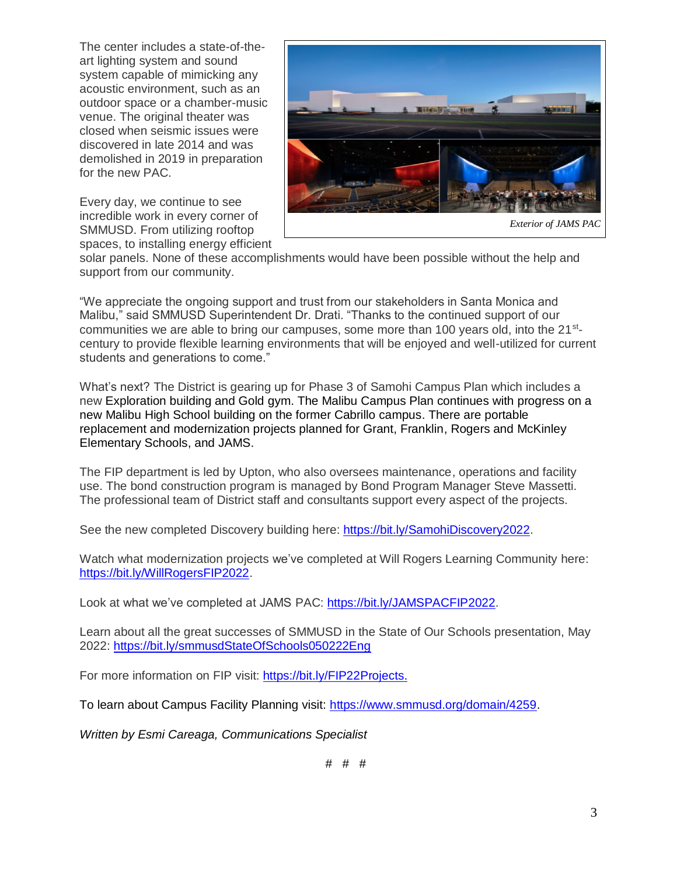The center includes a state-of-theart lighting system and sound system capable of mimicking any acoustic environment, such as an outdoor space or a chamber-music venue. The original theater was closed when seismic issues were discovered in late 2014 and was demolished in 2019 in preparation for the new PAC.

Every day, we continue to see incredible work in every corner of SMMUSD. From utilizing rooftop spaces, to installing energy efficient



solar panels. None of these accomplishments would have been possible without the help and support from our community.

"We appreciate the ongoing support and trust from our stakeholders in Santa Monica and Malibu," said SMMUSD Superintendent Dr. Drati. "Thanks to the continued support of our communities we are able to bring our campuses, some more than 100 years old, into the 21<sup>st</sup>century to provide flexible learning environments that will be enjoyed and well-utilized for current students and generations to come."

What's next? The District is gearing up for Phase 3 of Samohi Campus Plan which includes a new Exploration building and Gold gym. The Malibu Campus Plan continues with progress on a new Malibu High School building on the former Cabrillo campus. There are portable replacement and modernization projects planned for Grant, Franklin, Rogers and McKinley Elementary Schools, and JAMS.

The FIP department is led by Upton, who also oversees maintenance, operations and facility use. The bond construction program is managed by Bond Program Manager Steve Massetti. The professional team of District staff and consultants support every aspect of the projects.

See the new completed Discovery building here: [https://bit.ly/SamohiDiscovery2022.](https://bit.ly/SamohiDiscovery2022)

Watch what modernization projects we've completed at Will Rogers Learning Community here: [https://bit.ly/WillRogersFIP2022.](https://bit.ly/WillRogersFIP2022)

Look at what we've completed at JAMS PAC: [https://bit.ly/JAMSPACFIP2022.](https://bit.ly/JAMSPACFIP2022)

Learn about all the great successes of SMMUSD in the State of Our Schools presentation, May 2022:<https://bit.ly/smmusdStateOfSchools050222Eng>

For more information on FIP visit: [https://bit.ly/FIP22Projects.](https://bit.ly/FIP22Projects)

To learn about Campus Facility Planning visit: [https://www.smmusd.org/domain/4259.](https://www.smmusd.org/domain/4259)

*Written by Esmi Careaga, Communications Specialist*

# # #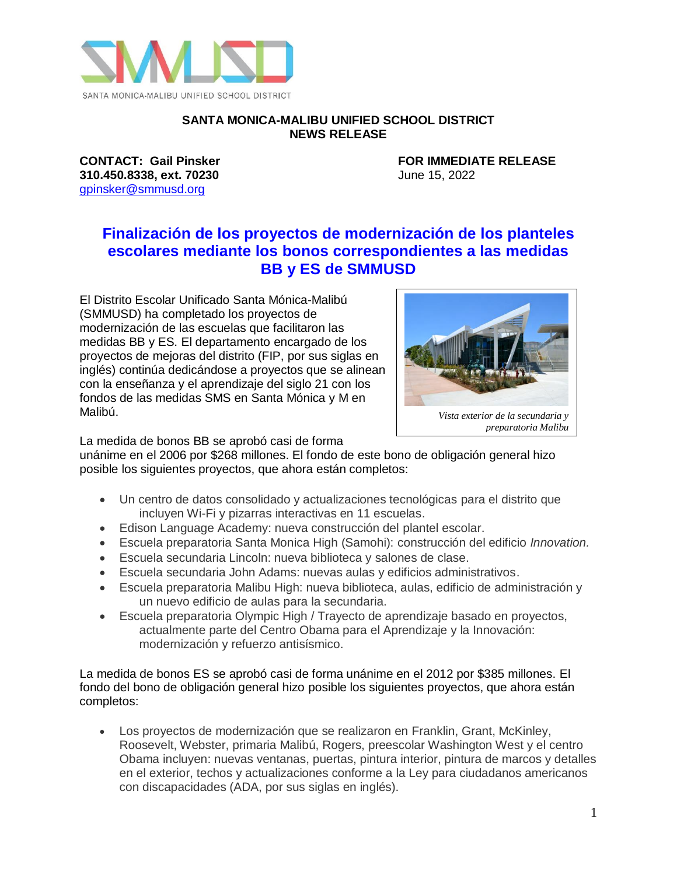

#### **SANTA MONICA-MALIBU UNIFIED SCHOOL DISTRICT NEWS RELEASE**

**310.450.8338, ext. 70230** June 15, 2022 [gpinsker@smmusd.org](mailto:gpinsker@smmusd.org)

**CONTACT: Gail Pinsker FOR IMMEDIATE RELEASE**

# **Finalización de los proyectos de modernización de los planteles escolares mediante los bonos correspondientes a las medidas BB y ES de SMMUSD**

El Distrito Escolar Unificado Santa Mónica-Malibú (SMMUSD) ha completado los proyectos de modernización de las escuelas que facilitaron las medidas BB y ES. El departamento encargado de los proyectos de mejoras del distrito (FIP, por sus siglas en inglés) continúa dedicándose a proyectos que se alinean con la enseñanza y el aprendizaje del siglo 21 con los fondos de las medidas SMS en Santa Mónica y M en Malibú.



*Vista exterior de la secundaria y preparatoria Malibu*

La medida de bonos BB se aprobó casi de forma

unánime en el 2006 por \$268 millones. El fondo de este bono de obligación general hizo posible los siguientes proyectos, que ahora están completos:

- Un centro de datos consolidado y actualizaciones tecnológicas para el distrito que incluyen Wi-Fi y pizarras interactivas en 11 escuelas.
- Edison Language Academy: nueva construcción del plantel escolar.
- Escuela preparatoria Santa Monica High (Samohi): construcción del edificio *Innovation.*
- Escuela secundaria Lincoln: nueva biblioteca y salones de clase.
- Escuela secundaria John Adams: nuevas aulas y edificios administrativos.
- Escuela preparatoria Malibu High: nueva biblioteca, aulas, edificio de administración y un nuevo edificio de aulas para la secundaria.
- Escuela preparatoria Olympic High / Trayecto de aprendizaje basado en proyectos, actualmente parte del Centro Obama para el Aprendizaje y la Innovación: modernización y refuerzo antisísmico.

La medida de bonos ES se aprobó casi de forma unánime en el 2012 por \$385 millones. El fondo del bono de obligación general hizo posible los siguientes proyectos, que ahora están completos:

• Los proyectos de modernización que se realizaron en Franklin, Grant, McKinley, Roosevelt, Webster, primaria Malibú, Rogers, preescolar Washington West y el centro Obama incluyen: nuevas ventanas, puertas, pintura interior, pintura de marcos y detalles en el exterior, techos y actualizaciones conforme a la Ley para ciudadanos americanos con discapacidades (ADA, por sus siglas en inglés).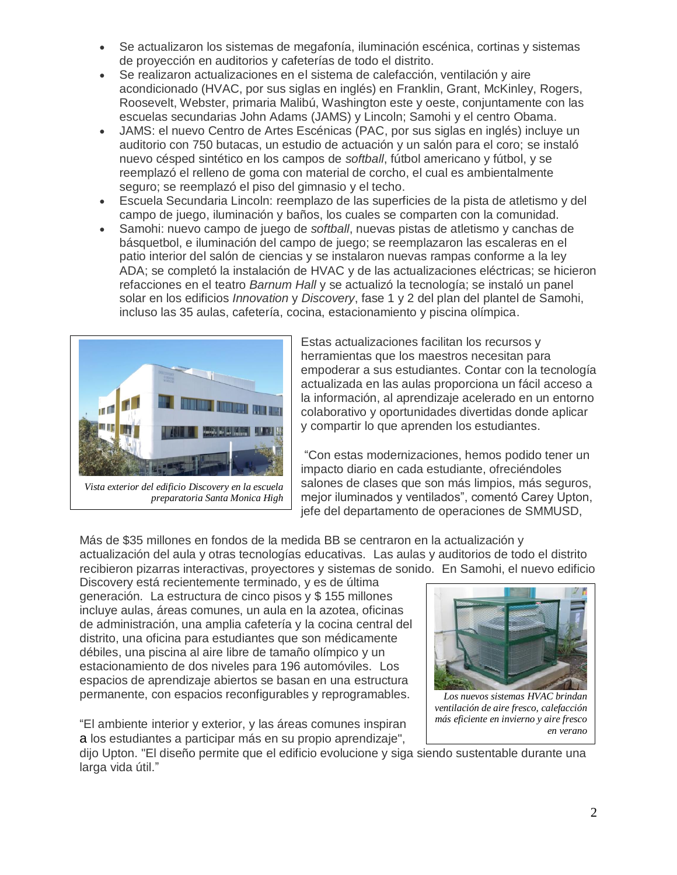- Se actualizaron los sistemas de megafonía, iluminación escénica, cortinas y sistemas de proyección en auditorios y cafeterías de todo el distrito.
- Se realizaron actualizaciones en el sistema de calefacción, ventilación y aire acondicionado (HVAC, por sus siglas en inglés) en Franklin, Grant, McKinley, Rogers, Roosevelt, Webster, primaria Malibú, Washington este y oeste, conjuntamente con las escuelas secundarias John Adams (JAMS) y Lincoln; Samohi y el centro Obama.
- JAMS: el nuevo Centro de Artes Escénicas (PAC, por sus siglas en inglés) incluye un auditorio con 750 butacas, un estudio de actuación y un salón para el coro; se instaló nuevo césped sintético en los campos de *softball*, fútbol americano y fútbol, y se reemplazó el relleno de goma con material de corcho, el cual es ambientalmente seguro; se reemplazó el piso del gimnasio y el techo.
- Escuela Secundaria Lincoln: reemplazo de las superficies de la pista de atletismo y del campo de juego, iluminación y baños, los cuales se comparten con la comunidad.
- Samohi: nuevo campo de juego de *softball*, nuevas pistas de atletismo y canchas de básquetbol, e iluminación del campo de juego; se reemplazaron las escaleras en el patio interior del salón de ciencias y se instalaron nuevas rampas conforme a la ley ADA; se completó la instalación de HVAC y de las actualizaciones eléctricas; se hicieron refacciones en el teatro *Barnum Hall* y se actualizó la tecnología; se instaló un panel solar en los edificios *Innovation* y *Discovery*, fase 1 y 2 del plan del plantel de Samohi, incluso las 35 aulas, cafetería, cocina, estacionamiento y piscina olímpica.



*Vista exterior del edificio Discovery en la escuela preparatoria Santa Monica High*

Estas actualizaciones facilitan los recursos y herramientas que los maestros necesitan para empoderar a sus estudiantes. Contar con la tecnología actualizada en las aulas proporciona un fácil acceso a la información, al aprendizaje acelerado en un entorno colaborativo y oportunidades divertidas donde aplicar y compartir lo que aprenden los estudiantes.

"Con estas modernizaciones, hemos podido tener un impacto diario en cada estudiante, ofreciéndoles salones de clases que son más limpios, más seguros, mejor iluminados y ventilados", comentó Carey Upton, jefe del departamento de operaciones de SMMUSD,

Más de \$35 millones en fondos de la medida BB se centraron en la actualización y actualización del aula y otras tecnologías educativas. Las aulas y auditorios de todo el distrito recibieron pizarras interactivas, proyectores y sistemas de sonido. En Samohi, el nuevo edificio

Discovery está recientemente terminado, y es de última generación. La estructura de cinco pisos y \$ 155 millones incluye aulas, áreas comunes, un aula en la azotea, oficinas de administración, una amplia cafetería y la cocina central del distrito, una oficina para estudiantes que son médicamente débiles, una piscina al aire libre de tamaño olímpico y un estacionamiento de dos niveles para 196 automóviles. Los espacios de aprendizaje abiertos se basan en una estructura permanente, con espacios reconfigurables y reprogramables.

"El ambiente interior y exterior, y las áreas comunes inspiran a los estudiantes a participar más en su propio aprendizaje",



*Los nuevos sistemas HVAC brindan ventilación de aire fresco, calefacción más eficiente en invierno y aire fresco en verano*

dijo Upton. "El diseño permite que el edificio evolucione y siga siendo sustentable durante una larga vida útil."